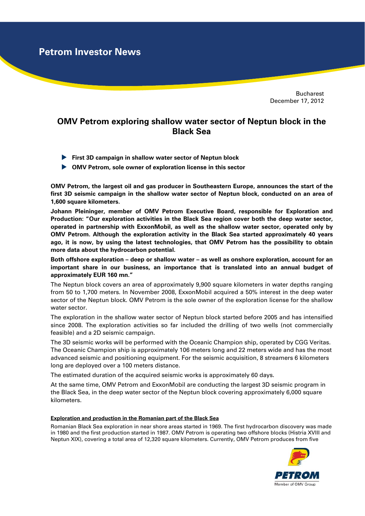**Petrom Investor News**

Bucharest December 17, 2012

## **OMV Petrom exploring shallow water sector of Neptun block in the Black Sea**

- **First 3D campaign in shallow water sector of Neptun block**
- **OMV Petrom, sole owner of exploration license in this sector**

**OMV Petrom, the largest oil and gas producer in Southeastern Europe, announces the start of the first 3D seismic campaign in the shallow water sector of Neptun block, conducted on an area of 1,600 square kilometers.** 

**Johann Pleininger, member of OMV Petrom Executive Board, responsible for Exploration and Production: "Our exploration activities in the Black Sea region cover both the deep water sector, operated in partnership with ExxonMobil, as well as the shallow water sector, operated only by OMV Petrom. Although the exploration activity in the Black Sea started approximately 40 years ago, it is now, by using the latest technologies, that OMV Petrom has the possibility to obtain more data about the hydrocarbon potential.** 

**Both offshore exploration – deep or shallow water – as well as onshore exploration, account for an important share in our business, an importance that is translated into an annual budget of approximately EUR 160 mn."** 

The Neptun block covers an area of approximately 9,900 square kilometers in water depths ranging from 50 to 1,700 meters. In November 2008, ExxonMobil acquired a 50% interest in the deep water sector of the Neptun block. OMV Petrom is the sole owner of the exploration license for the shallow water sector.

The exploration in the shallow water sector of Neptun block started before 2005 and has intensified since 2008. The exploration activities so far included the drilling of two wells (not commercially feasible) and a 2D seismic campaign.

The 3D seismic works will be performed with the Oceanic Champion ship, operated by CGG Veritas. The Oceanic Champion ship is approximately 106 meters long and 22 meters wide and has the most advanced seismic and positioning equipment. For the seismic acquisition, 8 streamers 6 kilometers long are deployed over a 100 meters distance.

The estimated duration of the acquired seismic works is approximately 60 days.

At the same time, OMV Petrom and ExxonMobil are conducting the largest 3D seismic program in the Black Sea, in the deep water sector of the Neptun block covering approximately 6,000 square kilometers.

## **Exploration and production in the Romanian part of the Black Sea**

Romanian Black Sea exploration in near shore areas started in 1969. The first hydrocarbon discovery was made in 1980 and the first production started in 1987. OMV Petrom is operating two offshore blocks (Histria XVIII and Neptun XIX), covering a total area of 12,320 square kilometers. Currently, OMV Petrom produces from five